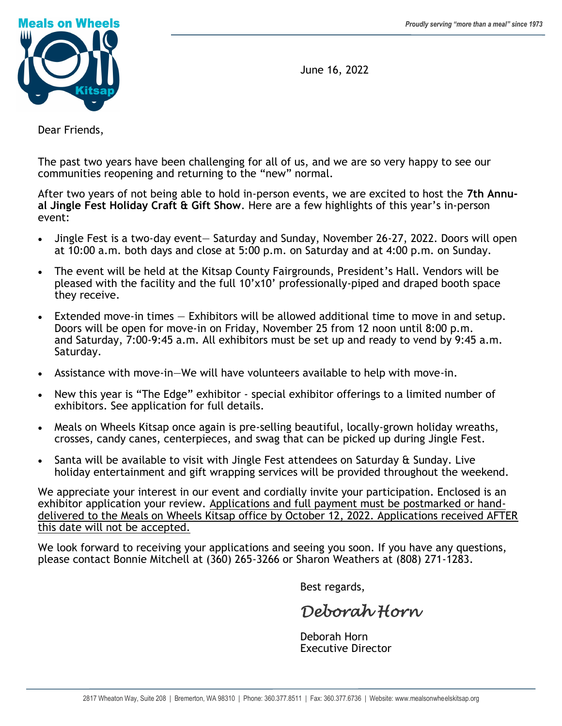

June 16, 2022

Dear Friends,

The past two years have been challenging for all of us, and we are so very happy to see our communities reopening and returning to the "new" normal.

After two years of not being able to hold in-person events, we are excited to host the **7th Annual Jingle Fest Holiday Craft & Gift Show**. Here are a few highlights of this year's in-person event:

- Jingle Fest is a two-day event— Saturday and Sunday, November 26-27, 2022. Doors will open at 10:00 a.m. both days and close at 5:00 p.m. on Saturday and at 4:00 p.m. on Sunday.
- The event will be held at the Kitsap County Fairgrounds, President's Hall. Vendors will be pleased with the facility and the full 10'x10' professionally-piped and draped booth space they receive.
- Extended move-in times Exhibitors will be allowed additional time to move in and setup. Doors will be open for move-in on Friday, November 25 from 12 noon until 8:00 p.m. and Saturday, 7:00-9:45 a.m. All exhibitors must be set up and ready to vend by 9:45 a.m. Saturday.
- Assistance with move-in—We will have volunteers available to help with move-in.
- New this year is "The Edge" exhibitor special exhibitor offerings to a limited number of exhibitors. See application for full details.
- Meals on Wheels Kitsap once again is pre-selling beautiful, locally-grown holiday wreaths, crosses, candy canes, centerpieces, and swag that can be picked up during Jingle Fest.
- Santa will be available to visit with Jingle Fest attendees on Saturday & Sunday. Live holiday entertainment and gift wrapping services will be provided throughout the weekend.

We appreciate your interest in our event and cordially invite your participation. Enclosed is an exhibitor application your review. Applications and full payment must be postmarked or handdelivered to the Meals on Wheels Kitsap office by October 12, 2022. Applications received AFTER this date will not be accepted.

We look forward to receiving your applications and seeing you soon. If you have any questions, please contact Bonnie Mitchell at (360) 265-3266 or Sharon Weathers at (808) 271-1283.

Best regards,

*Deborah Horn* 

Deborah Horn Executive Director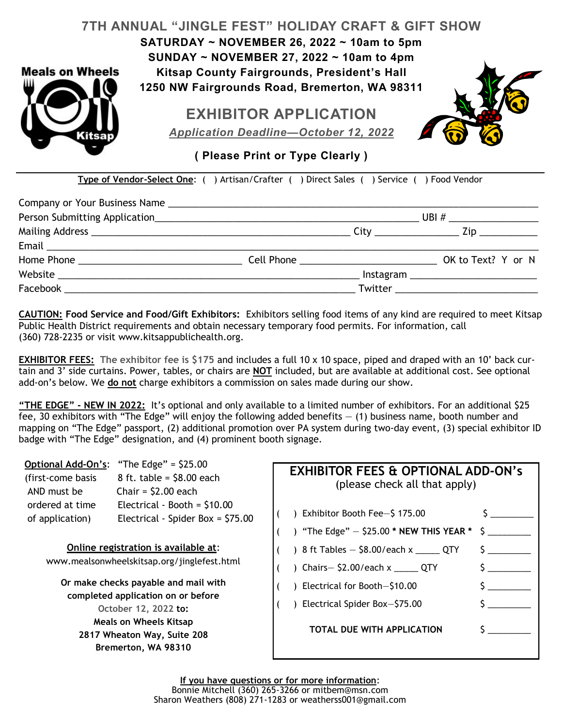# **7TH ANNUAL "JINGLE FEST" HOLIDAY CRAFT & GIFT SHOW**

**SATURDAY ~ NOVEMBER 26, 2022 ~ 10am to 5pm SUNDAY ~ NOVEMBER 27, 2022 ~ 10am to 4pm Kitsap County Fairgrounds, President's Hall 1250 NW Fairgrounds Road, Bremerton, WA 98311**



# **EXHIBITOR APPLICATION** *Application Deadline—October 12, 2022*



**( Please Print or Type Clearly )**

**Type of Vendor-Select One**: ( ) Artisan/Crafter ( ) Direct Sales ( ) Service ( ) Food Vendor

|  | UBI # _____________________ |                                       |  |
|--|-----------------------------|---------------------------------------|--|
|  |                             | $City$ $Zip$                          |  |
|  |                             |                                       |  |
|  |                             | OK to Text? Y or N                    |  |
|  |                             |                                       |  |
|  |                             | Twitter _____________________________ |  |

**CAUTION: Food Service and Food/Gift Exhibitors:** Exhibitors selling food items of any kind are required to meet Kitsap Public Health District requirements and obtain necessary temporary food permits. For information, call (360) 728-2235 or visit www.kitsappublichealth.org.

**EXHIBITOR FEES: The exhibitor fee is \$175** and includes a full 10 x 10 space, piped and draped with an 10' back curtain and 3' side curtains. Power, tables, or chairs are **NOT** included, but are available at additional cost. See optional add-on's below. We **do not** charge exhibitors a commission on sales made during our show.

**"THE EDGE" - NEW IN 2022:** It's optional and only available to a limited number of exhibitors. For an additional \$25 fee, 30 exhibitors with "The Edge" will enjoy the following added benefits — (1) business name, booth number and mapping on "The Edge" passport, (2) additional promotion over PA system during two-day event, (3) special exhibitor ID badge with "The Edge" designation, and (4) prominent booth signage.

|                   | Optional Add-On's: "The Edge" = \$25.00 |
|-------------------|-----------------------------------------|
| (first-come basis | 8 ft. table = $$8.00$ each              |
| AND must be       | Chair = $$2.00$ each                    |
| ordered at time   | Electrical - Booth = $$10.00$           |
| of application)   | Electrical - Spider Box = \$75.00       |
|                   |                                         |

**Online registration is available at**: www.mealsonwheelskitsap.org/jinglefest.html

**Or make checks payable and mail with completed application on or before October 12, 2022 to: Meals on Wheels Kitsap 2817 Wheaton Way, Suite 208 Bremerton, WA 98310**

## **EXHIBITOR FEES & OPTIONAL ADD-ON's** (please check all that apply)

|                            | () Exhibitor Booth Fee-\$175.00                |      |
|----------------------------|------------------------------------------------|------|
|                            | () "The Edge" $-$ \$25.00 * NEW THIS YEAR * \$ |      |
|                            | () 8 ft Tables $-$ \$8.00/each x _________ QTY | S in |
|                            |                                                |      |
|                            | $($ ) Electrical for Booth $-$ \$10.00         |      |
|                            | $($ ) Electrical Spider Box- $$75.00$          |      |
| TOTAL DUE WITH APPLICATION |                                                |      |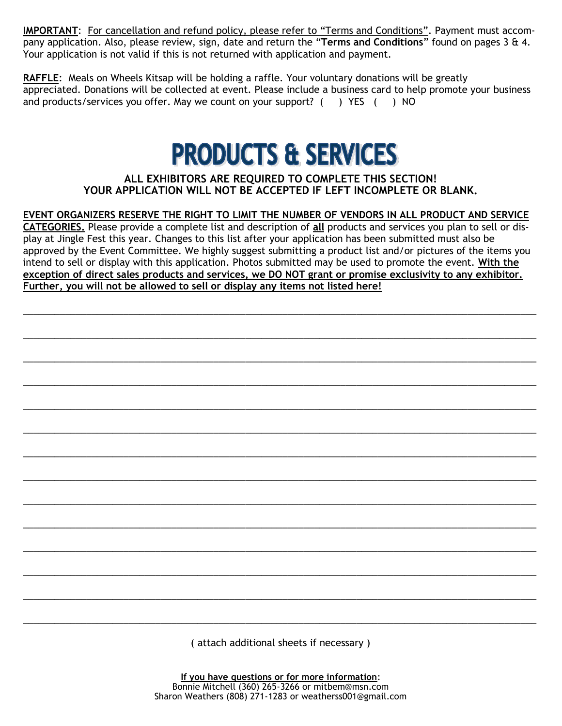**IMPORTANT**: For cancellation and refund policy, please refer to "Terms and Conditions". Payment must accompany application. Also, please review, sign, date and return the "**Terms and Conditions**" found on pages 3 & 4. Your application is not valid if this is not returned with application and payment.

**RAFFLE**: Meals on Wheels Kitsap will be holding a raffle. Your voluntary donations will be greatly appreciated. Donations will be collected at event. Please include a business card to help promote your business and products/services you offer. May we count on your support?  $($  ) YES  $($   $)$  NO

# **PRODUCTS & SERVICES**

### **ALL EXHIBITORS ARE REQUIRED TO COMPLETE THIS SECTION! YOUR APPLICATION WILL NOT BE ACCEPTED IF LEFT INCOMPLETE OR BLANK.**

## **EVENT ORGANIZERS RESERVE THE RIGHT TO LIMIT THE NUMBER OF VENDORS IN ALL PRODUCT AND SERVICE**

**CATEGORIES.** Please provide a complete list and description of **all** products and services you plan to sell or display at Jingle Fest this year. Changes to this list after your application has been submitted must also be approved by the Event Committee. We highly suggest submitting a product list and/or pictures of the items you intend to sell or display with this application. Photos submitted may be used to promote the event. **With the exception of direct sales products and services, we DO NOT grant or promise exclusivity to any exhibitor. Further, you will not be allowed to sell or display any items not listed here!**

 $\_$  ,  $\_$  ,  $\_$  ,  $\_$  ,  $\_$  ,  $\_$  ,  $\_$  ,  $\_$  ,  $\_$  ,  $\_$  ,  $\_$  ,  $\_$  ,  $\_$  ,  $\_$  ,  $\_$  ,  $\_$  ,  $\_$  ,  $\_$  ,  $\_$  ,  $\_$  ,  $\_$  ,  $\_$  ,  $\_$  ,  $\_$  ,  $\_$  ,  $\_$  ,  $\_$  ,  $\_$  ,  $\_$  ,  $\_$  ,  $\_$  ,  $\_$  ,  $\_$  ,  $\_$  ,  $\_$  ,  $\_$  ,  $\_$  ,

 $\_$  ,  $\_$  ,  $\_$  ,  $\_$  ,  $\_$  ,  $\_$  ,  $\_$  ,  $\_$  ,  $\_$  ,  $\_$  ,  $\_$  ,  $\_$  ,  $\_$  ,  $\_$  ,  $\_$  ,  $\_$  ,  $\_$  ,  $\_$  ,  $\_$  ,  $\_$  ,  $\_$  ,  $\_$  ,  $\_$  ,  $\_$  ,  $\_$  ,  $\_$  ,  $\_$  ,  $\_$  ,  $\_$  ,  $\_$  ,  $\_$  ,  $\_$  ,  $\_$  ,  $\_$  ,  $\_$  ,  $\_$  ,  $\_$  ,

 $\_$  ,  $\_$  ,  $\_$  ,  $\_$  ,  $\_$  ,  $\_$  ,  $\_$  ,  $\_$  ,  $\_$  ,  $\_$  ,  $\_$  ,  $\_$  ,  $\_$  ,  $\_$  ,  $\_$  ,  $\_$  ,  $\_$  ,  $\_$  ,  $\_$  ,  $\_$  ,  $\_$  ,  $\_$  ,  $\_$  ,  $\_$  ,  $\_$  ,  $\_$  ,  $\_$  ,  $\_$  ,  $\_$  ,  $\_$  ,  $\_$  ,  $\_$  ,  $\_$  ,  $\_$  ,  $\_$  ,  $\_$  ,  $\_$  ,

 $\_$  , and the set of the set of the set of the set of the set of the set of the set of the set of the set of the set of the set of the set of the set of the set of the set of the set of the set of the set of the set of th

 $\_$  , and the contribution of the contribution of the contribution of the contribution of the contribution of  $\mathcal{L}_i$ 

 $\_$  , and the contribution of the contribution of the contribution of the contribution of the contribution of  $\mathcal{L}_i$ 

 $\_$  ,  $\_$  ,  $\_$  ,  $\_$  ,  $\_$  ,  $\_$  ,  $\_$  ,  $\_$  ,  $\_$  ,  $\_$  ,  $\_$  ,  $\_$  ,  $\_$  ,  $\_$  ,  $\_$  ,  $\_$  ,  $\_$  ,  $\_$  ,  $\_$  ,  $\_$  ,  $\_$  ,  $\_$  ,  $\_$  ,  $\_$  ,  $\_$  ,  $\_$  ,  $\_$  ,  $\_$  ,  $\_$  ,  $\_$  ,  $\_$  ,  $\_$  ,  $\_$  ,  $\_$  ,  $\_$  ,  $\_$  ,  $\_$  ,

 $\_$  ,  $\_$  ,  $\_$  ,  $\_$  ,  $\_$  ,  $\_$  ,  $\_$  ,  $\_$  ,  $\_$  ,  $\_$  ,  $\_$  ,  $\_$  ,  $\_$  ,  $\_$  ,  $\_$  ,  $\_$  ,  $\_$  ,  $\_$  ,  $\_$  ,  $\_$  ,  $\_$  ,  $\_$  ,  $\_$  ,  $\_$  ,  $\_$  ,  $\_$  ,  $\_$  ,  $\_$  ,  $\_$  ,  $\_$  ,  $\_$  ,  $\_$  ,  $\_$  ,  $\_$  ,  $\_$  ,  $\_$  ,  $\_$  ,

 $\_$  ,  $\_$  ,  $\_$  ,  $\_$  ,  $\_$  ,  $\_$  ,  $\_$  ,  $\_$  ,  $\_$  ,  $\_$  ,  $\_$  ,  $\_$  ,  $\_$  ,  $\_$  ,  $\_$  ,  $\_$  ,  $\_$  ,  $\_$  ,  $\_$  ,  $\_$  ,  $\_$  ,  $\_$  ,  $\_$  ,  $\_$  ,  $\_$  ,  $\_$  ,  $\_$  ,  $\_$  ,  $\_$  ,  $\_$  ,  $\_$  ,  $\_$  ,  $\_$  ,  $\_$  ,  $\_$  ,  $\_$  ,  $\_$  ,

 $\_$  ,  $\_$  ,  $\_$  ,  $\_$  ,  $\_$  ,  $\_$  ,  $\_$  ,  $\_$  ,  $\_$  ,  $\_$  ,  $\_$  ,  $\_$  ,  $\_$  ,  $\_$  ,  $\_$  ,  $\_$  ,  $\_$  ,  $\_$  ,  $\_$  ,  $\_$  ,  $\_$  ,  $\_$  ,  $\_$  ,  $\_$  ,  $\_$  ,  $\_$  ,  $\_$  ,  $\_$  ,  $\_$  ,  $\_$  ,  $\_$  ,  $\_$  ,  $\_$  ,  $\_$  ,  $\_$  ,  $\_$  ,  $\_$  ,

 $\_$  ,  $\_$  ,  $\_$  ,  $\_$  ,  $\_$  ,  $\_$  ,  $\_$  ,  $\_$  ,  $\_$  ,  $\_$  ,  $\_$  ,  $\_$  ,  $\_$  ,  $\_$  ,  $\_$  ,  $\_$  ,  $\_$  ,  $\_$  ,  $\_$  ,  $\_$  ,  $\_$  ,  $\_$  ,  $\_$  ,  $\_$  ,  $\_$  ,  $\_$  ,  $\_$  ,  $\_$  ,  $\_$  ,  $\_$  ,  $\_$  ,  $\_$  ,  $\_$  ,  $\_$  ,  $\_$  ,  $\_$  ,  $\_$  ,

 $\_$  ,  $\_$  ,  $\_$  ,  $\_$  ,  $\_$  ,  $\_$  ,  $\_$  ,  $\_$  ,  $\_$  ,  $\_$  ,  $\_$  ,  $\_$  ,  $\_$  ,  $\_$  ,  $\_$  ,  $\_$  ,  $\_$  ,  $\_$  ,  $\_$  ,  $\_$  ,  $\_$  ,  $\_$  ,  $\_$  ,  $\_$  ,  $\_$  ,  $\_$  ,  $\_$  ,  $\_$  ,  $\_$  ,  $\_$  ,  $\_$  ,  $\_$  ,  $\_$  ,  $\_$  ,  $\_$  ,  $\_$  ,  $\_$  ,

 $\_$  ,  $\_$  ,  $\_$  ,  $\_$  ,  $\_$  ,  $\_$  ,  $\_$  ,  $\_$  ,  $\_$  ,  $\_$  ,  $\_$  ,  $\_$  ,  $\_$  ,  $\_$  ,  $\_$  ,  $\_$  ,  $\_$  ,  $\_$  ,  $\_$  ,  $\_$  ,  $\_$  ,  $\_$  ,  $\_$  ,  $\_$  ,  $\_$  ,  $\_$  ,  $\_$  ,  $\_$  ,  $\_$  ,  $\_$  ,  $\_$  ,  $\_$  ,  $\_$  ,  $\_$  ,  $\_$  ,  $\_$  ,  $\_$  ,

 $\_$  , and the contribution of the contribution of the contribution of the contribution of the contribution of  $\mathcal{L}_i$ 

( attach additional sheets if necessary )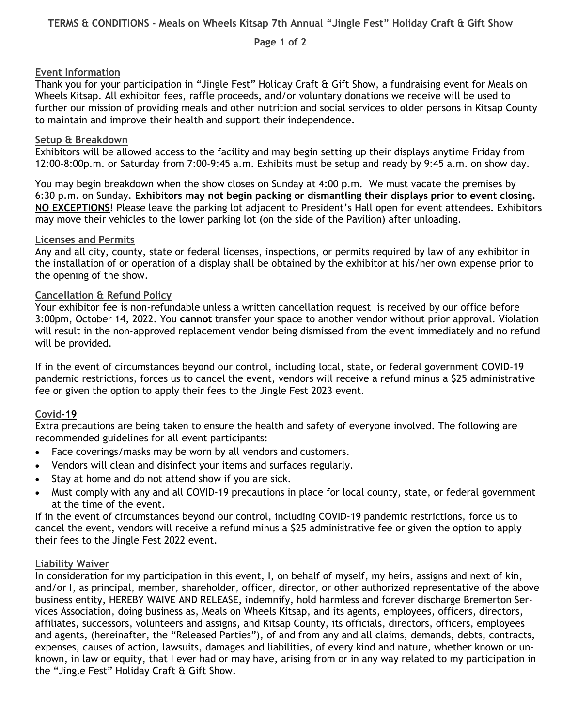#### **Page 1 of 2**

#### **Event Information**

Thank you for your participation in "Jingle Fest" Holiday Craft & Gift Show, a fundraising event for Meals on Wheels Kitsap. All exhibitor fees, raffle proceeds, and/or voluntary donations we receive will be used to further our mission of providing meals and other nutrition and social services to older persons in Kitsap County to maintain and improve their health and support their independence.

#### **Setup & Breakdown**

Exhibitors will be allowed access to the facility and may begin setting up their displays anytime Friday from 12:00-8:00p.m. or Saturday from 7:00-9:45 a.m. Exhibits must be setup and ready by 9:45 a.m. on show day.

You may begin breakdown when the show closes on Sunday at 4:00 p.m. We must vacate the premises by 6:30 p.m. on Sunday. **Exhibitors may not begin packing or dismantling their displays prior to event closing. NO EXCEPTIONS!** Please leave the parking lot adjacent to President's Hall open for event attendees. Exhibitors may move their vehicles to the lower parking lot (on the side of the Pavilion) after unloading.

#### **Licenses and Permits**

Any and all city, county, state or federal licenses, inspections, or permits required by law of any exhibitor in the installation of or operation of a display shall be obtained by the exhibitor at his/her own expense prior to the opening of the show.

#### **Cancellation & Refund Policy**

Your exhibitor fee is non-refundable unless a written cancellation request is received by our office before 3:00pm, October 14, 2022. You **cannot** transfer your space to another vendor without prior approval. Violation will result in the non-approved replacement vendor being dismissed from the event immediately and no refund will be provided.

If in the event of circumstances beyond our control, including local, state, or federal government COVID-19 pandemic restrictions, forces us to cancel the event, vendors will receive a refund minus a \$25 administrative fee or given the option to apply their fees to the Jingle Fest 2023 event.

#### **Covid-19**

Extra precautions are being taken to ensure the health and safety of everyone involved. The following are recommended guidelines for all event participants:

- Face coverings/masks may be worn by all vendors and customers.
- Vendors will clean and disinfect your items and surfaces regularly.
- Stay at home and do not attend show if you are sick.
- Must comply with any and all COVID-19 precautions in place for local county, state, or federal government at the time of the event.

If in the event of circumstances beyond our control, including COVID-19 pandemic restrictions, force us to cancel the event, vendors will receive a refund minus a \$25 administrative fee or given the option to apply their fees to the Jingle Fest 2022 event.

#### **Liability Waiver**

In consideration for my participation in this event, I, on behalf of myself, my heirs, assigns and next of kin, and/or I, as principal, member, shareholder, officer, director, or other authorized representative of the above business entity, HEREBY WAIVE AND RELEASE, indemnify, hold harmless and forever discharge Bremerton Services Association, doing business as, Meals on Wheels Kitsap, and its agents, employees, officers, directors, affiliates, successors, volunteers and assigns, and Kitsap County, its officials, directors, officers, employees and agents, (hereinafter, the "Released Parties"), of and from any and all claims, demands, debts, contracts, expenses, causes of action, lawsuits, damages and liabilities, of every kind and nature, whether known or unknown, in law or equity, that I ever had or may have, arising from or in any way related to my participation in the "Jingle Fest" Holiday Craft & Gift Show.